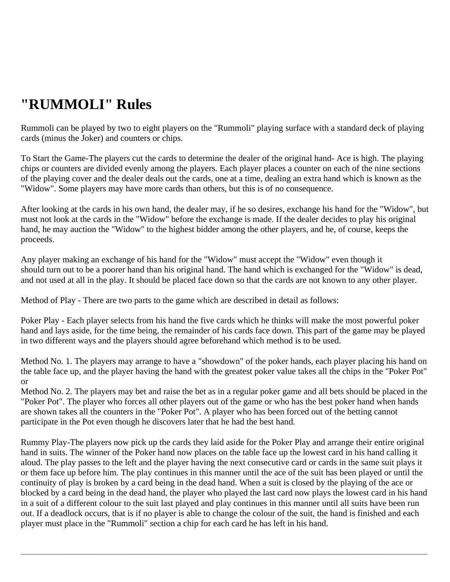## **"RUMMOLI" Rules**

Rummoli can be played by two to eight players on the "Rummoli" playing surface with a standard deck of playing cards (minus the Joker) and counters or chips.

To Start the Game-The players cut the cards to determine the dealer of the original hand- Ace is high. The playing chips or counters are divided evenly among the players. Each player places a counter on each of the nine sections of the playing cover and the dealer deals out the cards, one at a time, dealing an extra hand which is known as the "Widow". Some players may have more cards than others, but this is of no consequence.

After looking at the cards in his own hand, the dealer may, if he so desires, exchange his hand for the "Widow", but must not look at the cards in the "Widow" before the exchange is made. If the dealer decides to play his original hand, he may auction the "Widow" to the highest bidder among the other players, and he, of course, keeps the proceeds.

Any player making an exchange of his hand for the "Widow" must accept the "Widow" even though it should turn out to be a poorer hand than his original hand. The hand which is exchanged for the "Widow" is dead, and not used at all in the play. It should be placed face down so that the cards are not known to any other player.

Method of Play - There are two parts to the game which are described in detail as follows:

Poker Play - Each player selects from his hand the five cards which he thinks will make the most powerful poker hand and lays aside, for the time being, the remainder of his cards face down. This part of the game may be played in two different ways and the players should agree beforehand which method is to be used.

Method No. 1. The players may arrange to have a "showdown" of the poker hands, each player placing his hand on the table face up, and the player having the hand with the greatest poker value takes all the chips in the "Poker Pot" or

Method No. 2. The players may bet and raise the bet as in a regular poker game and all bets should be placed in the "Poker Pot". The player who forces all other players out of the game or who has the best poker hand when hands are shown takes all the counters in the "Poker Pot". A player who has been forced out of the betting cannot participate in the Pot even though he discovers later that he had the best hand.

Rummy Play-The players now pick up the cards they laid aside for the Poker Play and arrange their entire original hand in suits. The winner of the Poker hand now places on the table face up the lowest card in his hand calling it aloud. The play passes to the left and the player having the next consecutive card or cards in the same suit plays it or them face up before him. The play continues in this manner until the ace of the suit has been played or until the continuity of play is broken by a card being in the dead hand. When a suit is closed by the playing of the ace or blocked by a card being in the dead hand, the player who played the last card now plays the lowest card in his hand in a suit of a different colour to the suit last played and play continues in this manner until all suits have been run out. If a deadlock occurs, that is if no player is able to change the colour of the suit, the hand is finished and each player must place in the "Rummoli" section a chip for each card he has left in his hand.

 $\bot$  , and the set of the set of the set of the set of the set of the set of the set of the set of the set of the set of the set of the set of the set of the set of the set of the set of the set of the set of the set of t